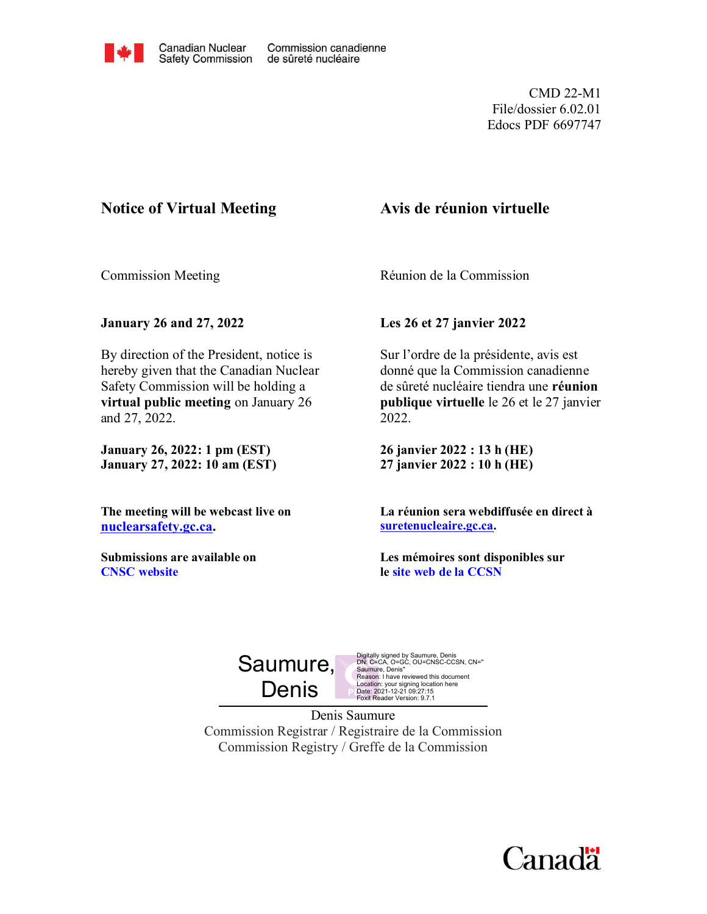

CMD 22-M1 File/dossier 6.02.01 Edocs PDF 6697747

## **Notice of Virtual Meeting**

# **Avis de réunion virtuelle**

Commission Meeting

Réunion de la Commission

**January 26 and 27, 2022**

By direction of the President, notice is hereby given that the Canadian Nuclear Safety Commission will be holding a **virtual public meeting** on January 26 and 27, 2022.

**January 26, 2022: 1 pm (EST) January 27, 2022: 10 am (EST)**

**The meeting will be webcast live on [nuclearsafety.gc.ca.](http://www.nuclearsafety.gc.ca/)**

**Submissions are available on CNSC [website](http://www.nuclearsafety.gc.ca/eng/the-commission/meetings/cmd/index.cfm)**

**Les 26 et 27 janvier 2022**

Sur l'ordre de la présidente, avis est donné que la Commission canadienne de sûreté nucléaire tiendra une **réunion publique virtuelle** le 26 et le 27 janvier 2022.

**26 janvier 2022 : 13 h (HE) 27 janvier 2022 : 10 h (HE)**

**La réunion sera webdiffusée en direct à [suretenucleaire.gc.ca.](http://www.suretenucleaire.gc.ca/)**

**Les mémoires sont disponibles sur le site web [de la CCSN](http://www.nuclearsafety.gc.ca/fra/the-commission/meetings/cmd/index.cfm)**



Digitally signed by Saumure, Denis<br>DN: C=CA, O=GC, OU=CNSC-CCSN, CN="<br>Saumure, Denis"<br>Reason: I have reviewed this document Location: your signing location here Date: 2021-12-21 09:27:15 Foxit Reader Version: 9.7.1

Denis Saumure Commission Registrar / Registraire de la Commission Commission Registry / Greffe de la Commission

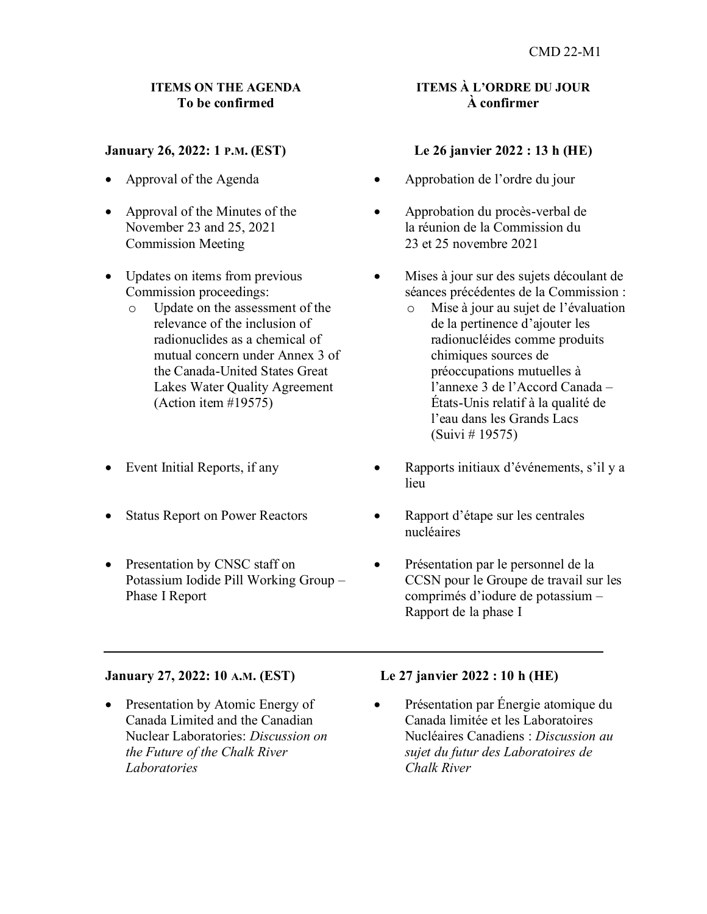#### **ITEMS ON THE AGENDA To be confirmed**

#### **January 26, 2022: 1 P.M. (EST)**

- Approval of the Agenda
- Approval of the Minutes of the November 23 and 25, 2021 Commission Meeting
- Updates on items from previous Commission proceedings:
	- o Update on the assessment of the relevance of the inclusion of radionuclides as a chemical of mutual concern under Annex 3 of the Canada-United States Great Lakes Water Quality Agreement (Action item #19575)
- Event Initial Reports, if any
- Status Report on Power Reactors
- Presentation by CNSC staff on Potassium Iodide Pill Working Group – Phase I Report

#### **January 27, 2022: 10** A.M. **(EST)**

• Presentation by Atomic Energy of Canada Limited and the Canadian Nuclear Laboratories: *Discussion on the Future of the Chalk River Laboratories*

#### **ITEMS À** L'ORDRE D**U JOUR À confirmer**

#### **Le 26 janvier 2022 : 13 h (HE)**

- Approbation de l'ordre du jour
- Approbation du procès-verbal de la réunion de la Commission du 23 et 25 novembre 2021
- Mises à jour sur des sujets découlant de séances précédentes de la Commission :
	- o Mise à jour au sujet de l'évaluation de la pertinence d'ajouter les radionucléides comme produits chimiques sources de préoccupations mutuelles à l'annexe 3 de l'Accord Canada – États-Unis relatif à la qualité de l'eau dans les Grands Lacs (Suivi # 19575)
- Rapports initiaux d'événements, s'il y a lieu
- Rapport d'étape sur les centrales nucléaires
- Présentation par le personnel de la CCSN pour le Groupe de travail sur les comprimés d'iodure de potassium – Rapport de la phase I

#### **Le 27 janvier 2022 : 10 h (HE)**

• Présentation par Énergie atomique du Canada limitée et les Laboratoires Nucléaires Canadiens : *Discussion au sujet du futur des Laboratoires de Chalk River*